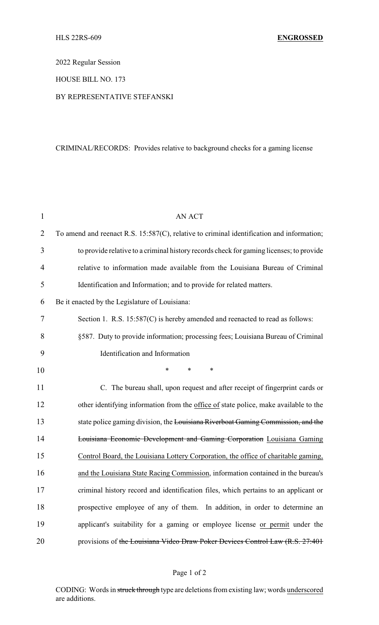2022 Regular Session

HOUSE BILL NO. 173

#### BY REPRESENTATIVE STEFANSKI

# CRIMINAL/RECORDS: Provides relative to background checks for a gaming license

| $\mathbf{1}$   | <b>AN ACT</b>                                                                             |
|----------------|-------------------------------------------------------------------------------------------|
| $\overline{2}$ | To amend and reenact R.S. 15:587(C), relative to criminal identification and information; |
| 3              | to provide relative to a criminal history records check for gaming licenses; to provide   |
| 4              | relative to information made available from the Louisiana Bureau of Criminal              |
| 5              | Identification and Information; and to provide for related matters.                       |
| 6              | Be it enacted by the Legislature of Louisiana:                                            |
| 7              | Section 1. R.S. 15:587(C) is hereby amended and reenacted to read as follows:             |
| 8              | §587. Duty to provide information; processing fees; Louisiana Bureau of Criminal          |
| 9              | Identification and Information                                                            |
| 10             | $\ast$<br>$\ast$<br>$\ast$                                                                |
| 11             | C. The bureau shall, upon request and after receipt of fingerprint cards or               |
| 12             | other identifying information from the office of state police, make available to the      |
| 13             | state police gaming division, the Louisiana Riverboat Gaming Commission, and the          |
| 14             | Louisiana Economic Development and Gaming Corporation Louisiana Gaming                    |
| 15             | Control Board, the Louisiana Lottery Corporation, the office of charitable gaming,        |
| 16             | and the Louisiana State Racing Commission, information contained in the bureau's          |
| 17             | criminal history record and identification files, which pertains to an applicant or       |
| 18             | prospective employee of any of them. In addition, in order to determine an                |
| 19             | applicant's suitability for a gaming or employee license or permit under the              |
| 20             | provisions of the Louisiana Video Draw Poker Devices Control Law (R.S. 27:401             |

# Page 1 of 2

CODING: Words in struck through type are deletions from existing law; words underscored are additions.